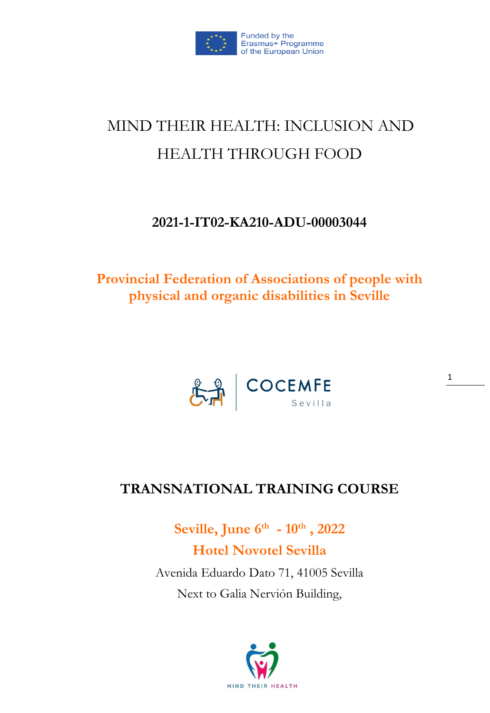

# MIND THEIR HEALTH: INCLUSION AND HEALTH THROUGH FOOD

### **2021-1-IT02-KA210-ADU-00003044**

**Provincial Federation of Associations of people with physical and organic disabilities in Seville**



# **TRANSNATIONAL TRAINING COURSE**

**Seville, June 6th - 10th , 2022 Hotel Novotel Sevilla** Avenida Eduardo Dato 71, 41005 Sevilla Next to Galia Nervión Building,

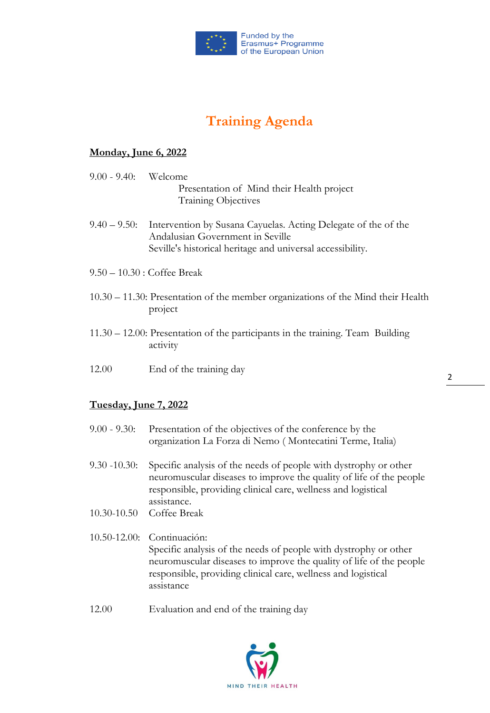

## **Training Agenda**

#### **Monday, June 6, 2022**

- 9.00 9.40: Welcome Presentation of Mind their Health project Training Objectives
- 9.40 9.50: Intervention by Susana Cayuelas. Acting Delegate of the of the Andalusian Government in Seville Seville's historical heritage and universal accessibility.
- 9.50 10.30 : Coffee Break
- 10.30 11.30: Presentation of the member organizations of the Mind their Health project
- 11.30 12.00: Presentation of the participants in the training. Team Building activity
- 12.00 End of the training day

#### **Tuesday, June 7, 2022**

- 9.00 9.30: Presentation of the objectives of the conference by the organization La Forza di Nemo ( Montecatini Terme, Italia)
- 9.30 -10.30: Specific analysis of the needs of people with dystrophy or other neuromuscular diseases to improve the quality of life of the people responsible, providing clinical care, wellness and logistical assistance.
- 10.30-10.50 Coffee Break
- 10.50-12.00: Continuación: Specific analysis of the needs of people with dystrophy or other neuromuscular diseases to improve the quality of life of the people responsible, providing clinical care, wellness and logistical assistance
- 12.00 Evaluation and end of the training day

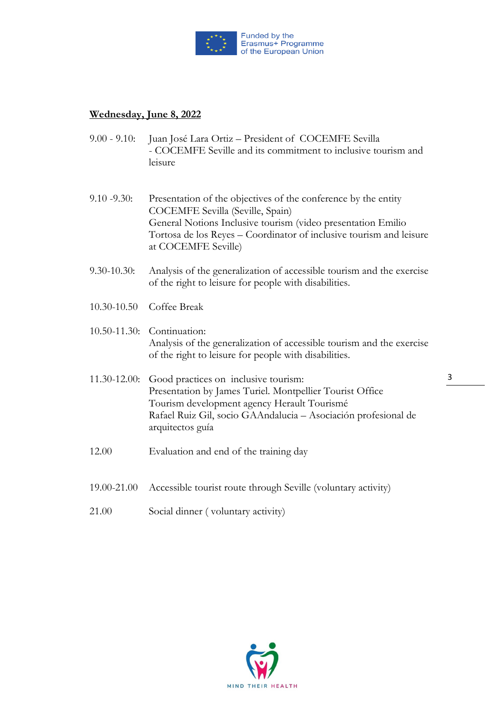

#### **Wednesday, June 8, 2022**

- 9.00 9.10: Juan José Lara Ortiz President of COCEMFE Sevilla - COCEMFE Seville and its commitment to inclusive tourism and leisure
- 9.10 -9.30: Presentation of the objectives of the conference by the entity COCEMFE Sevilla (Seville, Spain) General Notions Inclusive tourism (video presentation Emilio Tortosa de los Reyes – Coordinator of inclusive tourism and leisure at COCEMFE Seville)
- 9.30-10.30: Analysis of the generalization of accessible tourism and the exercise of the right to leisure for people with disabilities.
- 10.30-10.50 Coffee Break

#### 10.50-11.30: Continuation: Analysis of the generalization of accessible tourism and the exercise of the right to leisure for people with disabilities.

- 11.30-12.00: Good practices on inclusive tourism: Presentation by James Turiel. Montpellier Tourist Office Tourism development agency Herault Tourismé Rafael Ruiz Gil, socio GAAndalucia – Asociación profesional de arquitectos guía
- 12.00 Evaluation and end of the training day
- 19.00-21.00 Accessible tourist route through Seville (voluntary activity)
- 21.00 Social dinner ( voluntary activity)